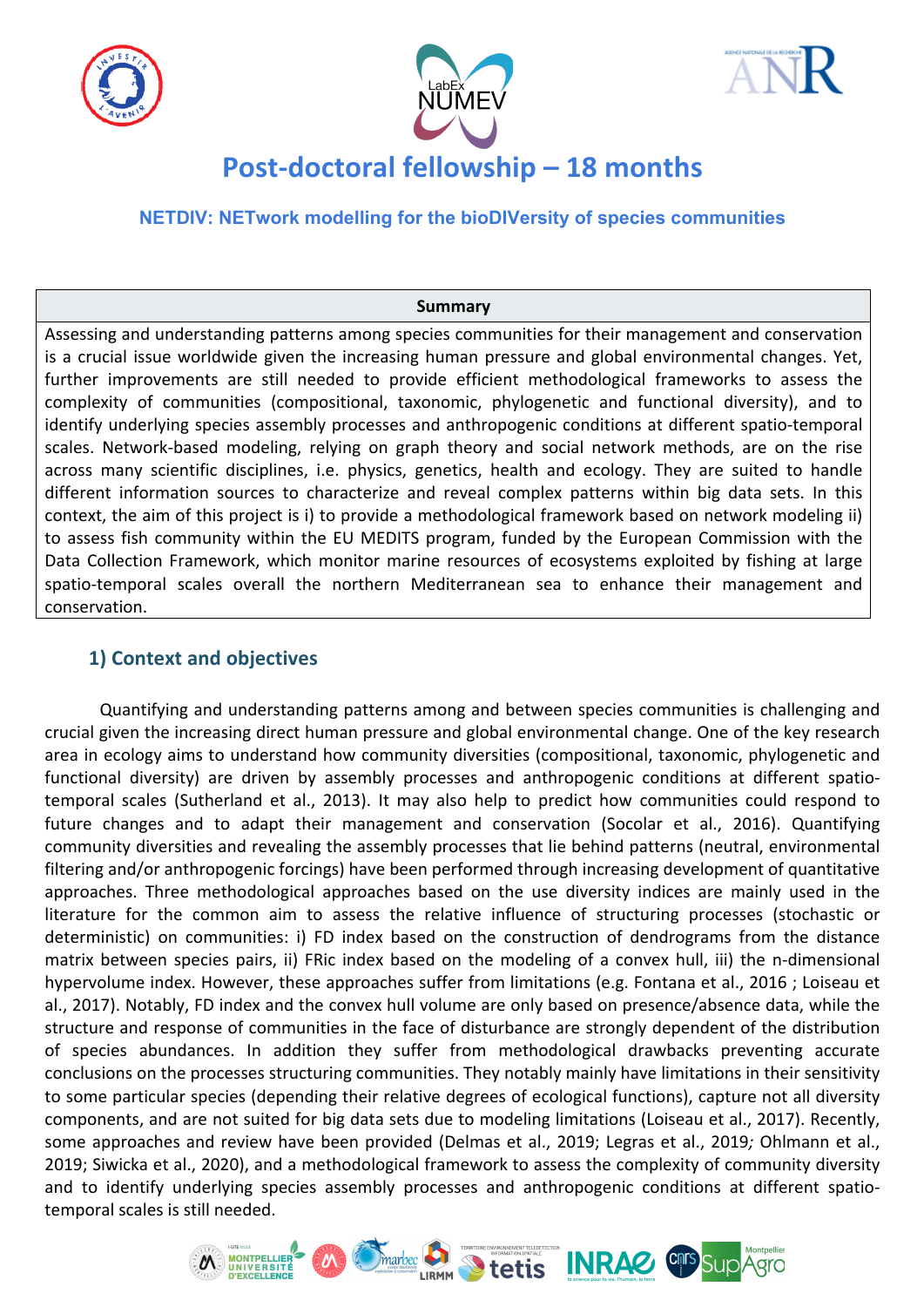





# **Post-doctoral fellowship - 18 months**

**NETDIV: NETwork modelling for the bioDIVersity of species communities**

#### **Summary**

Assessing and understanding patterns among species communities for their management and conservation is a crucial issue worldwide given the increasing human pressure and global environmental changes. Yet, further improvements are still needed to provide efficient methodological frameworks to assess the complexity of communities (compositional, taxonomic, phylogenetic and functional diversity), and to identify underlying species assembly processes and anthropogenic conditions at different spatio-temporal scales. Network-based modeling, relying on graph theory and social network methods, are on the rise across many scientific disciplines, i.e. physics, genetics, health and ecology. They are suited to handle different information sources to characterize and reveal complex patterns within big data sets. In this context, the aim of this project is i) to provide a methodological framework based on network modeling ii) to assess fish community within the EU MEDITS program, funded by the European Commission with the Data Collection Framework, which monitor marine resources of ecosystems exploited by fishing at large spatio-temporal scales overall the northern Mediterranean sea to enhance their management and conservation.

# **1) Context and objectives**

Quantifying and understanding patterns among and between species communities is challenging and crucial given the increasing direct human pressure and global environmental change. One of the key research area in ecology aims to understand how community diversities (compositional, taxonomic, phylogenetic and functional diversity) are driven by assembly processes and anthropogenic conditions at different spatiotemporal scales (Sutherland et al., 2013). It may also help to predict how communities could respond to future changes and to adapt their management and conservation (Socolar et al., 2016). Quantifying community diversities and revealing the assembly processes that lie behind patterns (neutral, environmental filtering and/or anthropogenic forcings) have been performed through increasing development of quantitative approaches. Three methodological approaches based on the use diversity indices are mainly used in the literature for the common aim to assess the relative influence of structuring processes (stochastic or deterministic) on communities: i) FD index based on the construction of dendrograms from the distance matrix between species pairs, ii) FRic index based on the modeling of a convex hull, iii) the n-dimensional hypervolume index. However, these approaches suffer from limitations (e.g. Fontana et al., 2016 ; Loiseau et al., 2017). Notably, FD index and the convex hull volume are only based on presence/absence data, while the structure and response of communities in the face of disturbance are strongly dependent of the distribution of species abundances. In addition they suffer from methodological drawbacks preventing accurate conclusions on the processes structuring communities. They notably mainly have limitations in their sensitivity to some particular species (depending their relative degrees of ecological functions), capture not all diversity components, and are not suited for big data sets due to modeling limitations (Loiseau et al., 2017). Recently, some approaches and review have been provided (Delmas et al., 2019; Legras et al., 2019; Ohlmann et al., 2019; Siwicka et al., 2020), and a methodological framework to assess the complexity of community diversity and to identify underlying species assembly processes and anthropogenic conditions at different spatiotemporal scales is still needed.

*<u>Marbec</u>* **C**<sub>LIRM</sub> Stetis **INRAC** CDB Sup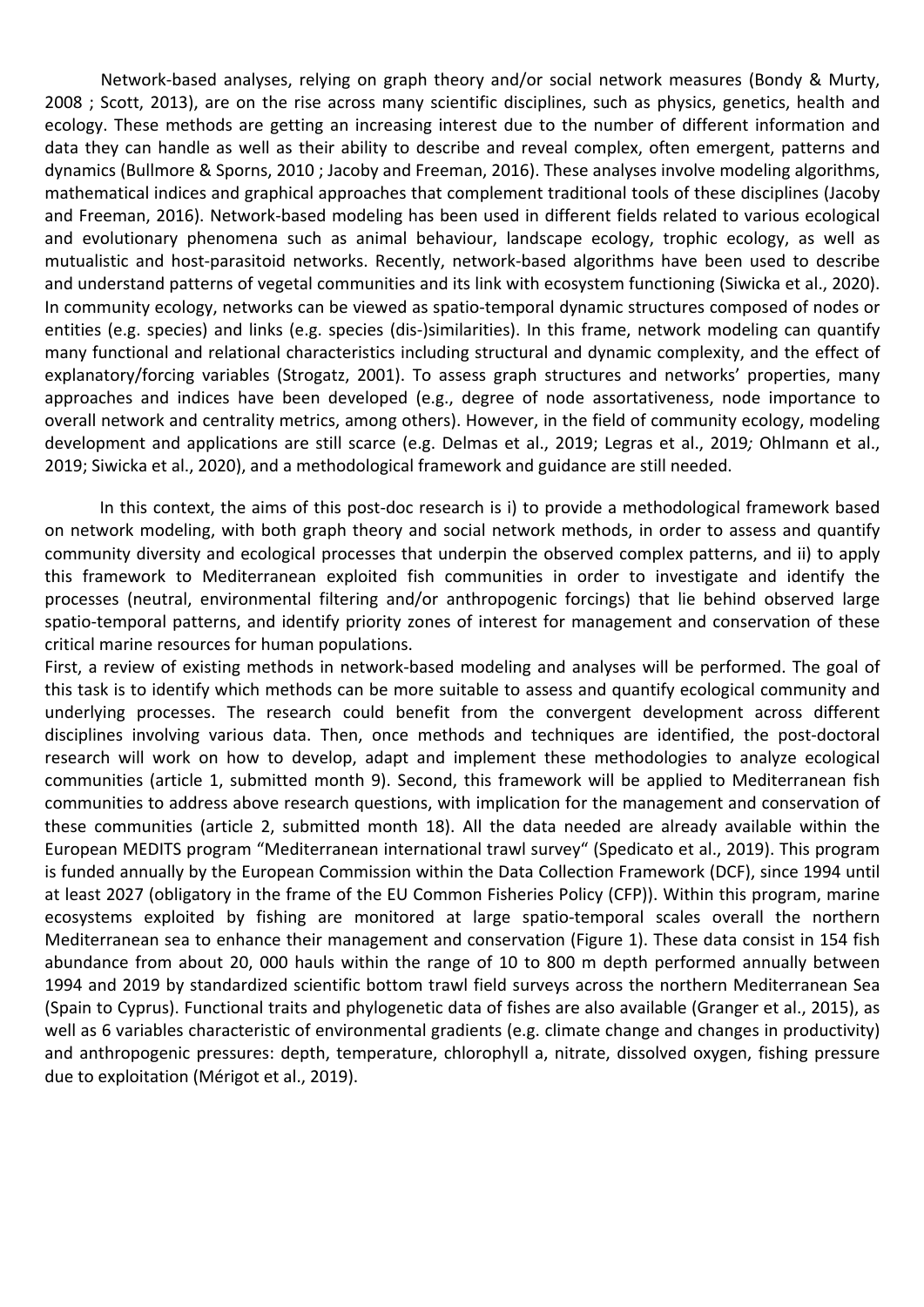Network-based analyses, relying on graph theory and/or social network measures (Bondy & Murty, 2008 ; Scott, 2013), are on the rise across many scientific disciplines, such as physics, genetics, health and ecology. These methods are getting an increasing interest due to the number of different information and data they can handle as well as their ability to describe and reveal complex, often emergent, patterns and dynamics (Bullmore & Sporns, 2010 ; Jacoby and Freeman, 2016). These analyses involve modeling algorithms, mathematical indices and graphical approaches that complement traditional tools of these disciplines (Jacoby and Freeman, 2016). Network-based modeling has been used in different fields related to various ecological and evolutionary phenomena such as animal behaviour, landscape ecology, trophic ecology, as well as mutualistic and host-parasitoid networks. Recently, network-based algorithms have been used to describe and understand patterns of vegetal communities and its link with ecosystem functioning (Siwicka et al., 2020). In community ecology, networks can be viewed as spatio-temporal dynamic structures composed of nodes or entities (e.g. species) and links (e.g. species (dis-)similarities). In this frame, network modeling can quantify many functional and relational characteristics including structural and dynamic complexity, and the effect of explanatory/forcing variables (Strogatz, 2001). To assess graph structures and networks' properties, many approaches and indices have been developed (e.g., degree of node assortativeness, node importance to overall network and centrality metrics, among others). However, in the field of community ecology, modeling development and applications are still scarce (e.g. Delmas et al., 2019; Legras et al., 2019; Ohlmann et al., 2019; Siwicka et al., 2020), and a methodological framework and guidance are still needed.

In this context, the aims of this post-doc research is i) to provide a methodological framework based on network modeling, with both graph theory and social network methods, in order to assess and quantify community diversity and ecological processes that underpin the observed complex patterns, and ii) to apply this framework to Mediterranean exploited fish communities in order to investigate and identify the processes (neutral, environmental filtering and/or anthropogenic forcings) that lie behind observed large spatio-temporal patterns, and identify priority zones of interest for management and conservation of these critical marine resources for human populations.

First, a review of existing methods in network-based modeling and analyses will be performed. The goal of this task is to identify which methods can be more suitable to assess and quantify ecological community and underlying processes. The research could benefit from the convergent development across different disciplines involving various data. Then, once methods and techniques are identified, the post-doctoral research will work on how to develop, adapt and implement these methodologies to analyze ecological communities (article 1, submitted month 9). Second, this framework will be applied to Mediterranean fish communities to address above research questions, with implication for the management and conservation of these communities (article 2, submitted month 18). All the data needed are already available within the European MEDITS program "Mediterranean international trawl survey" (Spedicato et al., 2019). This program is funded annually by the European Commission within the Data Collection Framework (DCF), since 1994 until at least 2027 (obligatory in the frame of the EU Common Fisheries Policy (CFP)). Within this program, marine ecosystems exploited by fishing are monitored at large spatio-temporal scales overall the northern Mediterranean sea to enhance their management and conservation (Figure 1). These data consist in 154 fish abundance from about 20, 000 hauls within the range of 10 to 800 m depth performed annually between 1994 and 2019 by standardized scientific bottom trawl field surveys across the northern Mediterranean Sea (Spain to Cyprus). Functional traits and phylogenetic data of fishes are also available (Granger et al., 2015), as well as 6 variables characteristic of environmental gradients (e.g. climate change and changes in productivity) and anthropogenic pressures: depth, temperature, chlorophyll a, nitrate, dissolved oxygen, fishing pressure due to exploitation (Mérigot et al., 2019).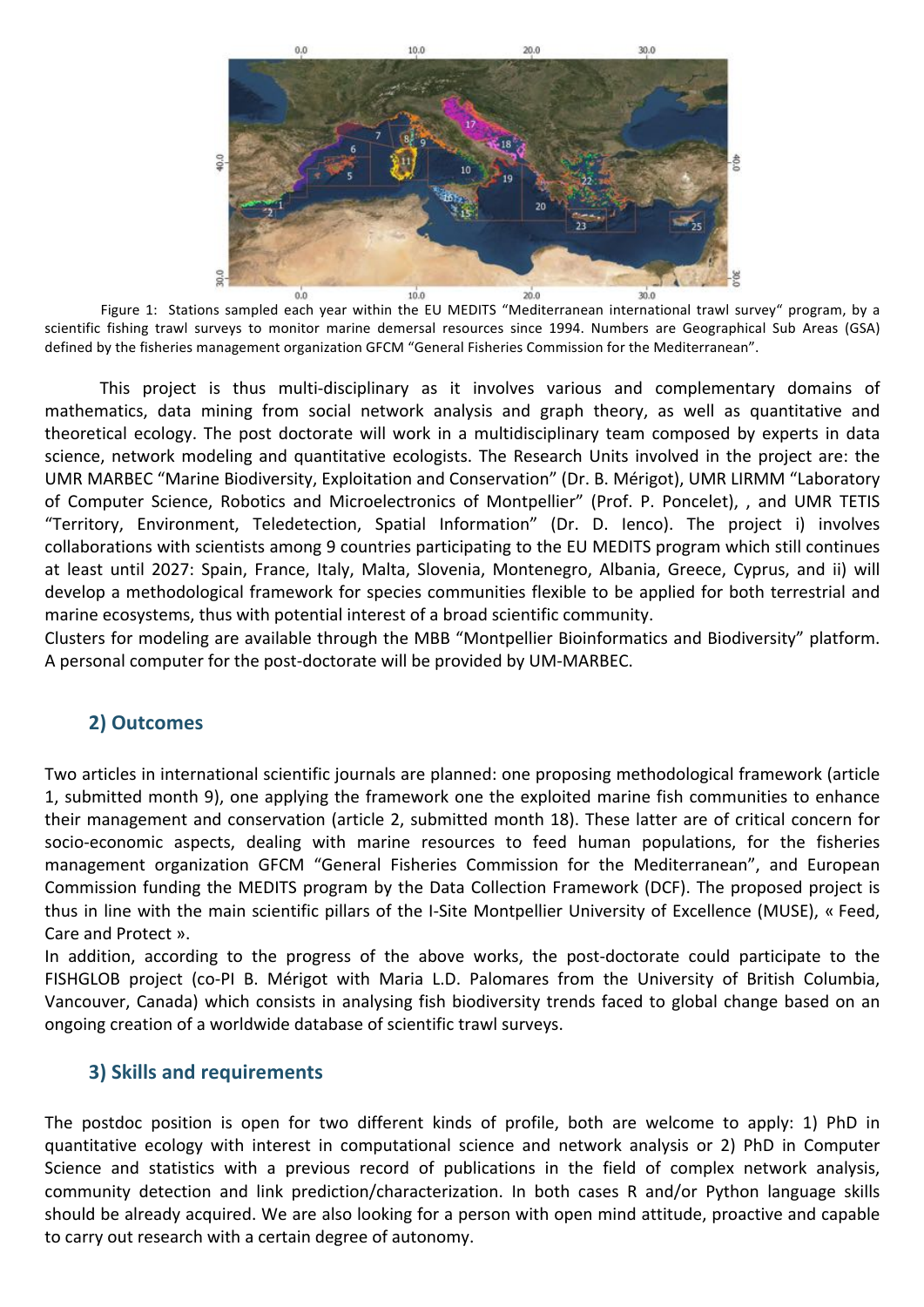

ing interpretations sampled each year within the EU MEDITS "Mediterranean international trawl survey" program, by a<br>Figure 1: Stations sampled each year within the EU MEDITS "Mediterranean international trawl survey" prog scientific fishing trawl surveys to monitor marine demersal resources since 1994. Numbers are Geographical Sub Areas (GSA) defined by the fisheries management organization GFCM "General Fisheries Commission for the Mediterranean".

This project is thus multi-disciplinary as it involves various and complementary domains of mathematics, data mining from social network analysis and graph theory, as well as quantitative and theoretical ecology. The post doctorate will work in a multidisciplinary team composed by experts in data science, network modeling and quantitative ecologists. The Research Units involved in the project are: the UMR MARBEC "Marine Biodiversity, Exploitation and Conservation" (Dr. B. Mérigot), UMR LIRMM "Laboratory of Computer Science, Robotics and Microelectronics of Montpellier" (Prof. P. Poncelet), , and UMR TETIS "Territory, Environment, Teledetection, Spatial Information" (Dr. D. Ienco). The project i) involves collaborations with scientists among 9 countries participating to the EU MEDITS program which still continues at least until 2027: Spain, France, Italy, Malta, Slovenia, Montenegro, Albania, Greece, Cyprus, and ii) will develop a methodological framework for species communities flexible to be applied for both terrestrial and marine ecosystems, thus with potential interest of a broad scientific community.

Clusters for modeling are available through the MBB "Montpellier Bioinformatics and Biodiversity" platform. A personal computer for the post-doctorate will be provided by UM-MARBEC.

# **2) Outcomes**

Two articles in international scientific iournals are planned: one proposing methodological framework (article 1, submitted month 9), one applying the framework one the exploited marine fish communities to enhance their management and conservation (article 2, submitted month 18). These latter are of critical concern for socio-economic aspects, dealing with marine resources to feed human populations, for the fisheries management organization GFCM "General Fisheries Commission for the Mediterranean", and European Commission funding the MEDITS program by the Data Collection Framework (DCF). The proposed project is thus in line with the main scientific pillars of the I-Site Montpellier University of Excellence (MUSE), « Feed, Care and Protect ».

In addition, according to the progress of the above works, the post-doctorate could participate to the FISHGLOB project (co-PI B. Mérigot with Maria L.D. Palomares from the University of British Columbia, Vancouver, Canada) which consists in analysing fish biodiversity trends faced to global change based on an ongoing creation of a worldwide database of scientific trawl surveys.

#### **3) Skills and requirements**

The postdoc position is open for two different kinds of profile, both are welcome to apply: 1) PhD in quantitative ecology with interest in computational science and network analysis or 2) PhD in Computer Science and statistics with a previous record of publications in the field of complex network analysis, community detection and link prediction/characterization. In both cases R and/or Python language skills should be already acquired. We are also looking for a person with open mind attitude, proactive and capable to carry out research with a certain degree of autonomy.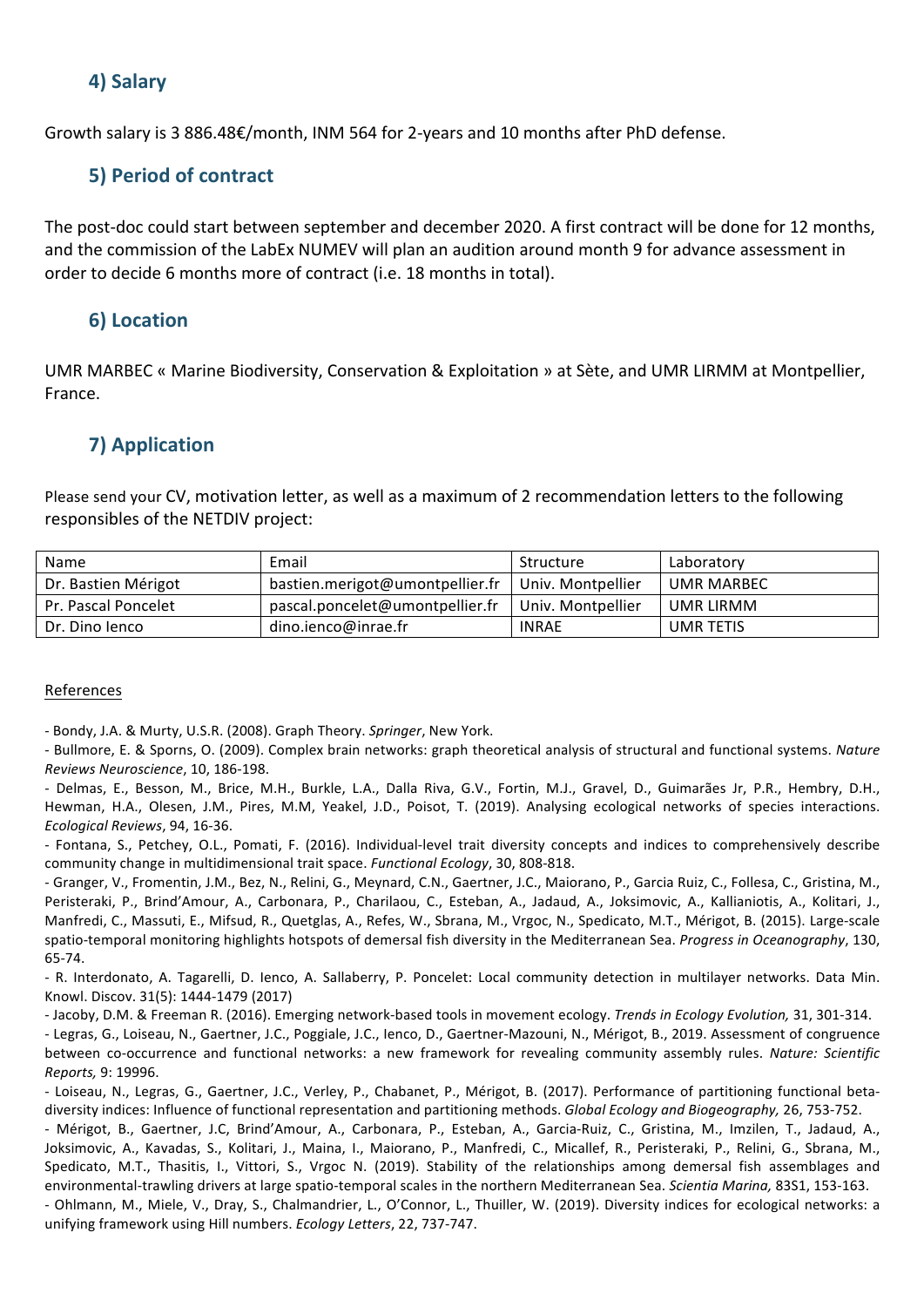## **4) Salary**

Growth salary is 3 886.48€/month, INM 564 for 2-years and 10 months after PhD defense.

# **5) Period of contract**

The post-doc could start between september and december 2020. A first contract will be done for 12 months, and the commission of the LabEx NUMEV will plan an audition around month 9 for advance assessment in order to decide 6 months more of contract (i.e. 18 months in total).

## **6) Location**

UMR MARBEC « Marine Biodiversity, Conservation & Exploitation » at Sète, and UMR LIRMM at Montpellier, France.

# **7) Application**

Please send your CV, motivation letter, as well as a maximum of 2 recommendation letters to the following responsibles of the NETDIV project:

| Name                | Email                           | Structure         | Laboratory |
|---------------------|---------------------------------|-------------------|------------|
| Dr. Bastien Mérigot | bastien.merigot@umontpellier.fr | Univ. Montpellier | UMR MARBEC |
| Pr. Pascal Poncelet | pascal.poncelet@umontpellier.fr | Univ. Montpellier | UMR LIRMM  |
| Dr. Dino Jenco      | dino.ienco@inrae.fr             | <b>INRAE</b>      | UMR TETIS  |

#### References

- Bondy, J.A. & Murty, U.S.R. (2008). Graph Theory. *Springer*, New York.

- Bullmore, E. & Sporns, O. (2009). Complex brain networks: graph theoretical analysis of structural and functional systems. Nature *Reviews Neuroscience*, 10, 186-198.

- Delmas, E., Besson, M., Brice, M.H., Burkle, L.A., Dalla Riva, G.V., Fortin, M.J., Gravel, D., Guimarães Jr, P.R., Hembry, D.H., Hewman, H.A., Olesen, J.M., Pires, M.M, Yeakel, J.D., Poisot, T. (2019). Analysing ecological networks of species interactions. *Ecological Reviews*, 94, 16-36.

- Fontana, S., Petchey, O.L., Pomati, F. (2016). Individual-level trait diversity concepts and indices to comprehensively describe community change in multidimensional trait space. *Functional Ecology*, 30, 808-818.

- Granger, V., Fromentin, J.M., Bez, N., Relini, G., Meynard, C.N., Gaertner, J.C., Maiorano, P., Garcia Ruiz, C., Follesa, C., Gristina, M., Peristeraki, P., Brind'Amour, A., Carbonara, P., Charilaou, C., Esteban, A., Jadaud, A., Joksimovic, A., Kallianiotis, A., Kolitari, J., Manfredi, C., Massuti, E., Mifsud, R., Quetglas, A., Refes, W., Sbrana, M., Vrgoc, N., Spedicato, M.T., Mérigot, B. (2015). Large-scale spatio-temporal monitoring highlights hotspots of demersal fish diversity in the Mediterranean Sea. Progress in Oceanography, 130, 65-74. 

- R. Interdonato, A. Tagarelli, D. Ienco, A. Sallaberry, P. Poncelet: Local community detection in multilayer networks. Data Min. Knowl. Discov. 31(5): 1444-1479 (2017)

- Jacoby, D.M. & Freeman R. (2016). Emerging network-based tools in movement ecology. *Trends in Ecology Evolution*, 31, 301-314. - Legras, G., Loiseau, N., Gaertner, J.C., Poggiale, J.C., Ienco, D., Gaertner-Mazouni, N., Mérigot, B., 2019. Assessment of congruence between co-occurrence and functional networks: a new framework for revealing community assembly rules. Nature: Scientific *Reports,* 9: 19996.

- Loiseau, N., Legras, G., Gaertner, J.C., Verley, P., Chabanet, P., Mérigot, B. (2017). Performance of partitioning functional betadiversity indices: Influence of functional representation and partitioning methods. *Global Ecology and Biogeography,* 26, 753-752.

- Mérigot, B., Gaertner, J.C, Brind'Amour, A., Carbonara, P., Esteban, A., Garcia-Ruiz, C., Gristina, M., Imzilen, T., Jadaud, A., Joksimovic, A., Kavadas, S., Kolitari, J., Maina, I., Maiorano, P., Manfredi, C., Micallef, R., Peristeraki, P., Relini, G., Sbrana, M., Spedicato, M.T., Thasitis, I., Vittori, S., Vrgoc N. (2019). Stability of the relationships among demersal fish assemblages and environmental-trawling drivers at large spatio-temporal scales in the northern Mediterranean Sea. Scientia Marina, 83S1, 153-163. - Ohlmann, M., Miele, V., Dray, S., Chalmandrier, L., O'Connor, L., Thuiller, W. (2019). Diversity indices for ecological networks: a unifying framework using Hill numbers. *Ecology Letters*, 22, 737-747.